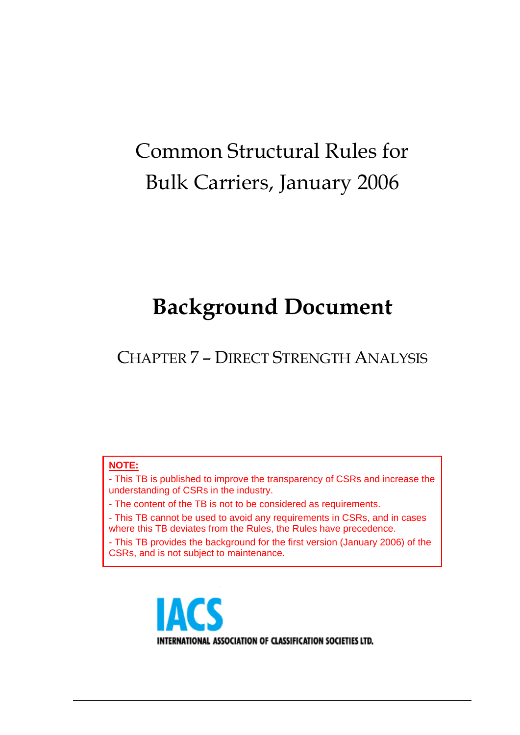# Common Structural Rules for Bulk Carriers, January 2006

# **Background Document**

CHAPTER 7 – DIRECT STRENGTH ANALYSIS

#### **NOTE:**

- This TB is published to improve the transparency of CSRs and increase the understanding of CSRs in the industry.

- The content of the TB is not to be considered as requirements.

- This TB cannot be used to avoid any requirements in CSRs, and in cases where this TB deviates from the Rules, the Rules have precedence.

- This TB provides the background for the first version (January 2006) of the CSRs, and is not subject to maintenance.



INTERNATIONAL ASSOCIATION OF CLASSIFICATION SOCIETIES LTD.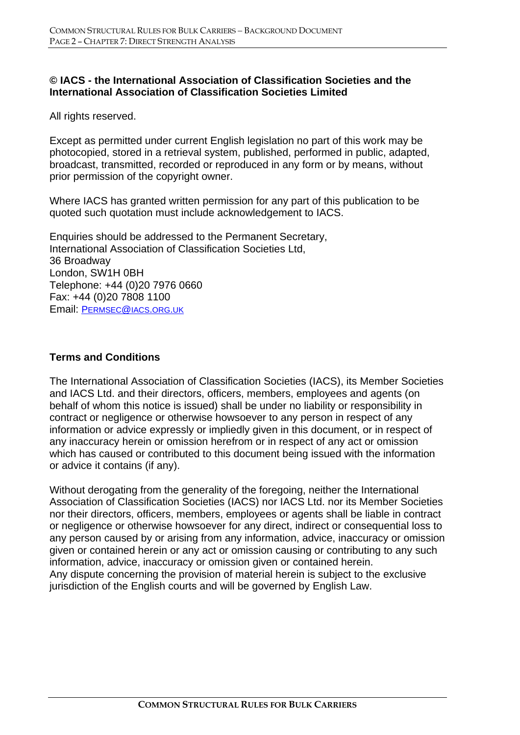#### **© IACS - the International Association of Classification Societies and the International Association of Classification Societies Limited**

All rights reserved.

Except as permitted under current English legislation no part of this work may be photocopied, stored in a retrieval system, published, performed in public, adapted, broadcast, transmitted, recorded or reproduced in any form or by means, without prior permission of the copyright owner.

Where IACS has granted written permission for any part of this publication to be quoted such quotation must include acknowledgement to IACS.

Enquiries should be addressed to the Permanent Secretary, International Association of Classification Societies Ltd, 36 Broadway London, SW1H 0BH Telephone: +44 (0)20 7976 0660 Fax: +44 (0)20 7808 1100 Email: PERMSEC@IACS.ORG.UK

#### **Terms and Conditions**

The International Association of Classification Societies (IACS), its Member Societies and IACS Ltd. and their directors, officers, members, employees and agents (on behalf of whom this notice is issued) shall be under no liability or responsibility in contract or negligence or otherwise howsoever to any person in respect of any information or advice expressly or impliedly given in this document, or in respect of any inaccuracy herein or omission herefrom or in respect of any act or omission which has caused or contributed to this document being issued with the information or advice it contains (if any).

Without derogating from the generality of the foregoing, neither the International Association of Classification Societies (IACS) nor IACS Ltd. nor its Member Societies nor their directors, officers, members, employees or agents shall be liable in contract or negligence or otherwise howsoever for any direct, indirect or consequential loss to any person caused by or arising from any information, advice, inaccuracy or omission given or contained herein or any act or omission causing or contributing to any such information, advice, inaccuracy or omission given or contained herein. Any dispute concerning the provision of material herein is subject to the exclusive jurisdiction of the English courts and will be governed by English Law.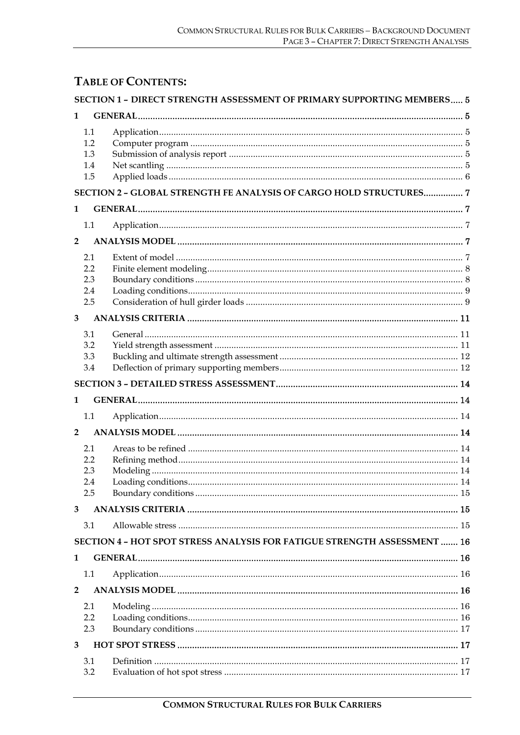# **TABLE OF CONTENTS:**

|                |                                 | SECTION 1 - DIRECT STRENGTH ASSESSMENT OF PRIMARY SUPPORTING MEMBERS 5   |  |
|----------------|---------------------------------|--------------------------------------------------------------------------|--|
| 1              |                                 |                                                                          |  |
|                | 1.1<br>1.2<br>1.3<br>1.4<br>1.5 |                                                                          |  |
|                |                                 | SECTION 2 - GLOBAL STRENGTH FE ANALYSIS OF CARGO HOLD STRUCTURES 7       |  |
| 1              |                                 |                                                                          |  |
|                | 1.1                             |                                                                          |  |
| $\overline{2}$ |                                 |                                                                          |  |
|                | 2.1<br>2.2<br>2.3<br>2.4<br>2.5 |                                                                          |  |
| 3              |                                 |                                                                          |  |
|                | 3.1<br>3.2<br>3.3<br>3.4        |                                                                          |  |
|                |                                 |                                                                          |  |
| 1              |                                 |                                                                          |  |
|                | 1.1                             |                                                                          |  |
| $\overline{2}$ |                                 |                                                                          |  |
|                | 2.1<br>2.2<br>2.3<br>2.4<br>2.5 |                                                                          |  |
| 3              |                                 |                                                                          |  |
|                | 3.1                             |                                                                          |  |
|                |                                 | SECTION 4 - HOT SPOT STRESS ANALYSIS FOR FATIGUE STRENGTH ASSESSMENT  16 |  |
| 1              |                                 |                                                                          |  |
|                | 1.1                             |                                                                          |  |
| $\mathbf{2}$   |                                 |                                                                          |  |
|                | 2.1<br>2.2<br>2.3               |                                                                          |  |
| 3              |                                 |                                                                          |  |
|                | 3.1<br>3.2                      |                                                                          |  |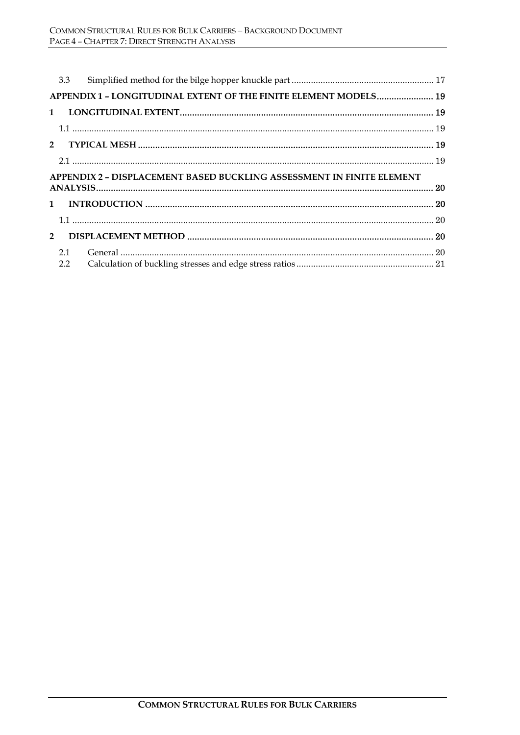|                                                                       | 3.3                                                              |  |  |  |  |  |
|-----------------------------------------------------------------------|------------------------------------------------------------------|--|--|--|--|--|
|                                                                       | APPENDIX 1 - LONGITUDINAL EXTENT OF THE FINITE ELEMENT MODELS 19 |  |  |  |  |  |
| $1 \quad$                                                             |                                                                  |  |  |  |  |  |
|                                                                       |                                                                  |  |  |  |  |  |
|                                                                       |                                                                  |  |  |  |  |  |
|                                                                       |                                                                  |  |  |  |  |  |
| APPENDIX 2 - DISPLACEMENT BASED BUCKLING ASSESSMENT IN FINITE ELEMENT |                                                                  |  |  |  |  |  |
|                                                                       |                                                                  |  |  |  |  |  |
|                                                                       |                                                                  |  |  |  |  |  |
|                                                                       |                                                                  |  |  |  |  |  |
| $2^{\circ}$                                                           |                                                                  |  |  |  |  |  |
|                                                                       |                                                                  |  |  |  |  |  |
|                                                                       | 2.1                                                              |  |  |  |  |  |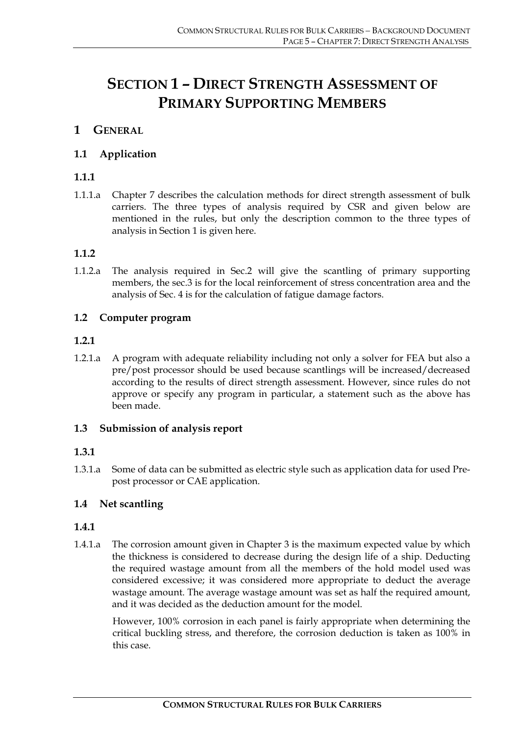# **SECTION 1 – DIRECT STRENGTH ASSESSMENT OF PRIMARY SUPPORTING MEMBERS**

# **1 GENERAL**

### **1.1 Application**

### **1.1.1**

1.1.1.a Chapter 7 describes the calculation methods for direct strength assessment of bulk carriers. The three types of analysis required by CSR and given below are mentioned in the rules, but only the description common to the three types of analysis in Section 1 is given here.

#### **1.1.2**

1.1.2.a The analysis required in Sec.2 will give the scantling of primary supporting members, the sec.3 is for the local reinforcement of stress concentration area and the analysis of Sec. 4 is for the calculation of fatigue damage factors.

#### **1.2 Computer program**

#### **1.2.1**

1.2.1.a A program with adequate reliability including not only a solver for FEA but also a pre/post processor should be used because scantlings will be increased/decreased according to the results of direct strength assessment. However, since rules do not approve or specify any program in particular, a statement such as the above has been made.

#### **1.3 Submission of analysis report**

#### **1.3.1**

1.3.1.a Some of data can be submitted as electric style such as application data for used Prepost processor or CAE application.

#### **1.4 Net scantling**

#### **1.4.1**

1.4.1.a The corrosion amount given in Chapter 3 is the maximum expected value by which the thickness is considered to decrease during the design life of a ship. Deducting the required wastage amount from all the members of the hold model used was considered excessive; it was considered more appropriate to deduct the average wastage amount. The average wastage amount was set as half the required amount, and it was decided as the deduction amount for the model.

However, 100% corrosion in each panel is fairly appropriate when determining the critical buckling stress, and therefore, the corrosion deduction is taken as 100% in this case.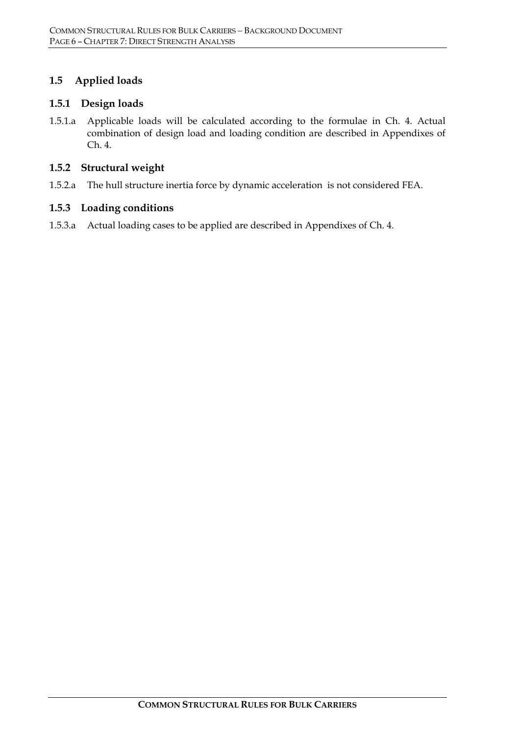### **1.5 Applied loads**

#### **1.5.1 Design loads**

1.5.1.a Applicable loads will be calculated according to the formulae in Ch. 4. Actual combination of design load and loading condition are described in Appendixes of Ch. 4.

#### **1.5.2 Structural weight**

1.5.2.a The hull structure inertia force by dynamic acceleration is not considered FEA.

#### **1.5.3 Loading conditions**

1.5.3.a Actual loading cases to be applied are described in Appendixes of Ch. 4.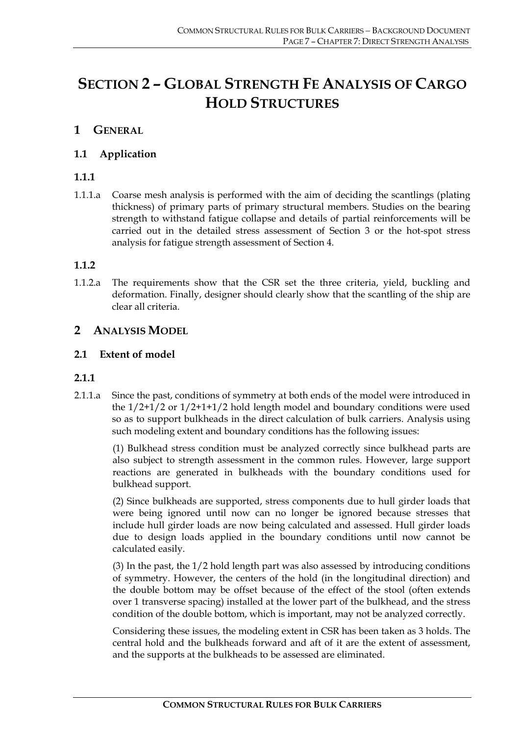# **SECTION 2 – GLOBAL STRENGTH FE ANALYSIS OF CARGO HOLD STRUCTURES**

# **1 GENERAL**

#### **1.1 Application**

#### **1.1.1**

1.1.1.a Coarse mesh analysis is performed with the aim of deciding the scantlings (plating thickness) of primary parts of primary structural members. Studies on the bearing strength to withstand fatigue collapse and details of partial reinforcements will be carried out in the detailed stress assessment of Section 3 or the hot-spot stress analysis for fatigue strength assessment of Section 4.

#### **1.1.2**

1.1.2.a The requirements show that the CSR set the three criteria, yield, buckling and deformation. Finally, designer should clearly show that the scantling of the ship are clear all criteria.

# **2 ANALYSIS MODEL**

#### **2.1 Extent of model**

#### **2.1.1**

2.1.1.a Since the past, conditions of symmetry at both ends of the model were introduced in the  $1/2+1/2$  or  $1/2+1+1/2$  hold length model and boundary conditions were used so as to support bulkheads in the direct calculation of bulk carriers. Analysis using such modeling extent and boundary conditions has the following issues:

(1) Bulkhead stress condition must be analyzed correctly since bulkhead parts are also subject to strength assessment in the common rules. However, large support reactions are generated in bulkheads with the boundary conditions used for bulkhead support.

(2) Since bulkheads are supported, stress components due to hull girder loads that were being ignored until now can no longer be ignored because stresses that include hull girder loads are now being calculated and assessed. Hull girder loads due to design loads applied in the boundary conditions until now cannot be calculated easily.

(3) In the past, the 1/2 hold length part was also assessed by introducing conditions of symmetry. However, the centers of the hold (in the longitudinal direction) and the double bottom may be offset because of the effect of the stool (often extends over 1 transverse spacing) installed at the lower part of the bulkhead, and the stress condition of the double bottom, which is important, may not be analyzed correctly.

Considering these issues, the modeling extent in CSR has been taken as 3 holds. The central hold and the bulkheads forward and aft of it are the extent of assessment, and the supports at the bulkheads to be assessed are eliminated.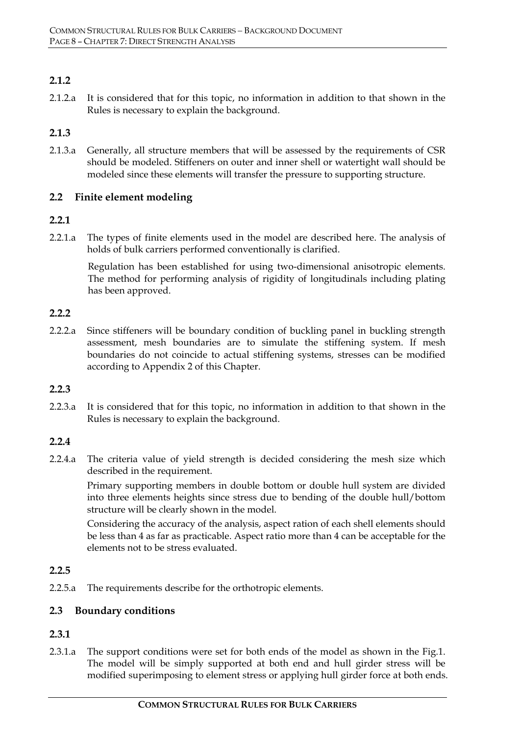# **2.1.2**

2.1.2.a It is considered that for this topic, no information in addition to that shown in the Rules is necessary to explain the background.

#### **2.1.3**

2.1.3.a Generally, all structure members that will be assessed by the requirements of CSR should be modeled. Stiffeners on outer and inner shell or watertight wall should be modeled since these elements will transfer the pressure to supporting structure.

#### **2.2 Finite element modeling**

#### **2.2.1**

2.2.1.a The types of finite elements used in the model are described here. The analysis of holds of bulk carriers performed conventionally is clarified.

Regulation has been established for using two-dimensional anisotropic elements. The method for performing analysis of rigidity of longitudinals including plating has been approved.

#### **2.2.2**

2.2.2.a Since stiffeners will be boundary condition of buckling panel in buckling strength assessment, mesh boundaries are to simulate the stiffening system. If mesh boundaries do not coincide to actual stiffening systems, stresses can be modified according to Appendix 2 of this Chapter.

#### **2.2.3**

2.2.3.a It is considered that for this topic, no information in addition to that shown in the Rules is necessary to explain the background.

#### **2.2.4**

2.2.4.a The criteria value of yield strength is decided considering the mesh size which described in the requirement.

Primary supporting members in double bottom or double hull system are divided into three elements heights since stress due to bending of the double hull/bottom structure will be clearly shown in the model.

Considering the accuracy of the analysis, aspect ration of each shell elements should be less than 4 as far as practicable. Aspect ratio more than 4 can be acceptable for the elements not to be stress evaluated.

#### **2.2.5**

2.2.5.a The requirements describe for the orthotropic elements.

#### **2.3 Boundary conditions**

#### **2.3.1**

2.3.1.a The support conditions were set for both ends of the model as shown in the Fig.1. The model will be simply supported at both end and hull girder stress will be modified superimposing to element stress or applying hull girder force at both ends.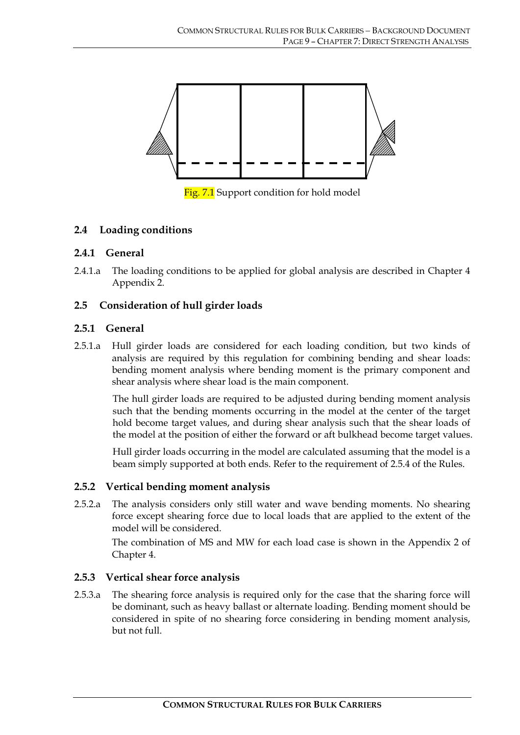

Fig. 7.1 Support condition for hold model

#### **2.4 Loading conditions**

#### **2.4.1 General**

2.4.1.a The loading conditions to be applied for global analysis are described in Chapter 4 Appendix 2.

#### **2.5 Consideration of hull girder loads**

#### **2.5.1 General**

2.5.1.a Hull girder loads are considered for each loading condition, but two kinds of analysis are required by this regulation for combining bending and shear loads: bending moment analysis where bending moment is the primary component and shear analysis where shear load is the main component.

The hull girder loads are required to be adjusted during bending moment analysis such that the bending moments occurring in the model at the center of the target hold become target values, and during shear analysis such that the shear loads of the model at the position of either the forward or aft bulkhead become target values.

Hull girder loads occurring in the model are calculated assuming that the model is a beam simply supported at both ends. Refer to the requirement of 2.5.4 of the Rules.

#### **2.5.2 Vertical bending moment analysis**

2.5.2.a The analysis considers only still water and wave bending moments. No shearing force except shearing force due to local loads that are applied to the extent of the model will be considered.

The combination of MS and MW for each load case is shown in the Appendix 2 of Chapter 4.

#### **2.5.3 Vertical shear force analysis**

2.5.3.a The shearing force analysis is required only for the case that the sharing force will be dominant, such as heavy ballast or alternate loading. Bending moment should be considered in spite of no shearing force considering in bending moment analysis, but not full.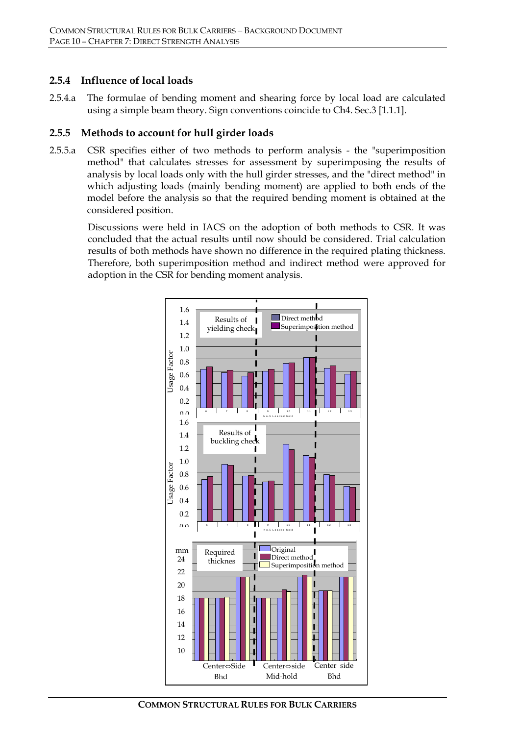#### **2.5.4 Influence of local loads**

2.5.4.a The formulae of bending moment and shearing force by local load are calculated using a simple beam theory. Sign conventions coincide to Ch4. Sec.3 [1.1.1].

#### **2.5.5 Methods to account for hull girder loads**

2.5.5.a CSR specifies either of two methods to perform analysis - the "superimposition method" that calculates stresses for assessment by superimposing the results of analysis by local loads only with the hull girder stresses, and the "direct method" in which adjusting loads (mainly bending moment) are applied to both ends of the model before the analysis so that the required bending moment is obtained at the considered position.

Discussions were held in IACS on the adoption of both methods to CSR. It was concluded that the actual results until now should be considered. Trial calculation results of both methods have shown no difference in the required plating thickness. Therefore, both superimposition method and indirect method were approved for adoption in the CSR for bending moment analysis.

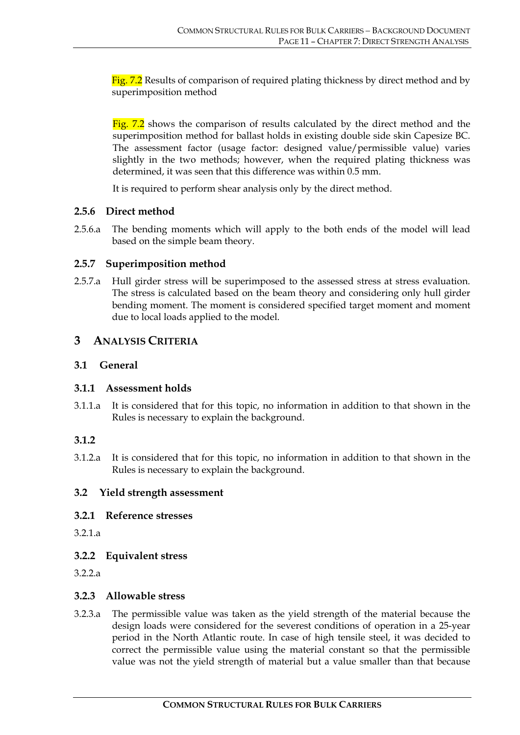Fig. 7.2 Results of comparison of required plating thickness by direct method and by superimposition method

Fig. 7.2 shows the comparison of results calculated by the direct method and the superimposition method for ballast holds in existing double side skin Capesize BC. The assessment factor (usage factor: designed value/permissible value) varies slightly in the two methods; however, when the required plating thickness was determined, it was seen that this difference was within 0.5 mm.

It is required to perform shear analysis only by the direct method.

#### **2.5.6 Direct method**

2.5.6.a The bending moments which will apply to the both ends of the model will lead based on the simple beam theory.

#### **2.5.7 Superimposition method**

2.5.7.a Hull girder stress will be superimposed to the assessed stress at stress evaluation. The stress is calculated based on the beam theory and considering only hull girder bending moment. The moment is considered specified target moment and moment due to local loads applied to the model.

# **3 ANALYSIS CRITERIA**

#### **3.1 General**

#### **3.1.1 Assessment holds**

3.1.1.a It is considered that for this topic, no information in addition to that shown in the Rules is necessary to explain the background.

#### **3.1.2**

3.1.2.a It is considered that for this topic, no information in addition to that shown in the Rules is necessary to explain the background.

#### **3.2 Yield strength assessment**

#### **3.2.1 Reference stresses**

3.2.1.a

#### **3.2.2 Equivalent stress**

3.2.2.a

#### **3.2.3 Allowable stress**

3.2.3.a The permissible value was taken as the yield strength of the material because the design loads were considered for the severest conditions of operation in a 25-year period in the North Atlantic route. In case of high tensile steel, it was decided to correct the permissible value using the material constant so that the permissible value was not the yield strength of material but a value smaller than that because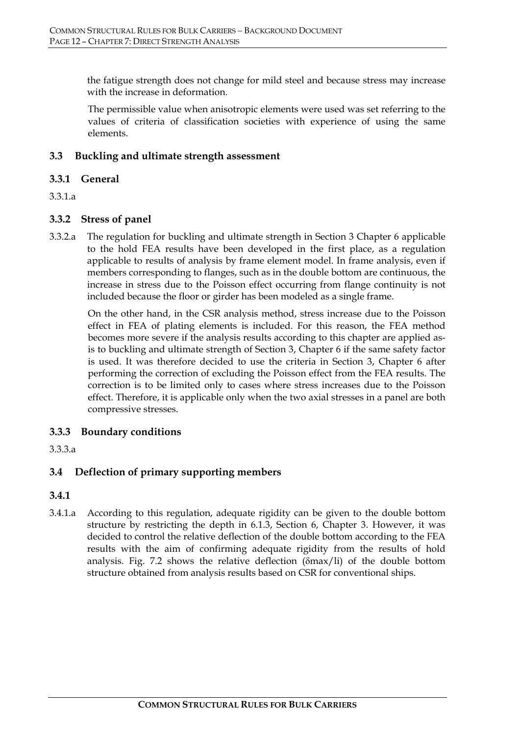the fatigue strength does not change for mild steel and because stress may increase with the increase in deformation.

The permissible value when anisotropic elements were used was set referring to the values of criteria of classification societies with experience of using the same elements.

#### **3.3 Buckling and ultimate strength assessment**

#### **3.3.1 General**

#### 3.3.1.a

#### **3.3.2 Stress of panel**

3.3.2.a The regulation for buckling and ultimate strength in Section 3 Chapter 6 applicable to the hold FEA results have been developed in the first place, as a regulation applicable to results of analysis by frame element model. In frame analysis, even if members corresponding to flanges, such as in the double bottom are continuous, the increase in stress due to the Poisson effect occurring from flange continuity is not included because the floor or girder has been modeled as a single frame.

On the other hand, in the CSR analysis method, stress increase due to the Poisson effect in FEA of plating elements is included. For this reason, the FEA method becomes more severe if the analysis results according to this chapter are applied asis to buckling and ultimate strength of Section 3, Chapter 6 if the same safety factor is used. It was therefore decided to use the criteria in Section 3, Chapter 6 after performing the correction of excluding the Poisson effect from the FEA results. The correction is to be limited only to cases where stress increases due to the Poisson effect. Therefore, it is applicable only when the two axial stresses in a panel are both compressive stresses.

#### **3.3.3 Boundary conditions**

#### 3.3.3.a

#### **3.4 Deflection of primary supporting members**

#### **3.4.1**

3.4.1.a According to this regulation, adequate rigidity can be given to the double bottom structure by restricting the depth in 6.1.3, Section 6, Chapter 3. However, it was decided to control the relative deflection of the double bottom according to the FEA results with the aim of confirming adequate rigidity from the results of hold analysis. Fig. 7.2 shows the relative deflection (δmax/li) of the double bottom structure obtained from analysis results based on CSR for conventional ships.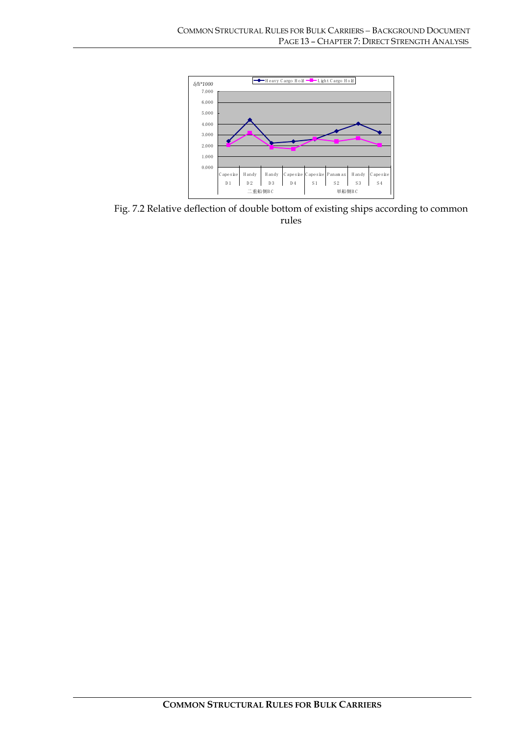

Fig. 7.2 Relative deflection of double bottom of existing ships according to common rules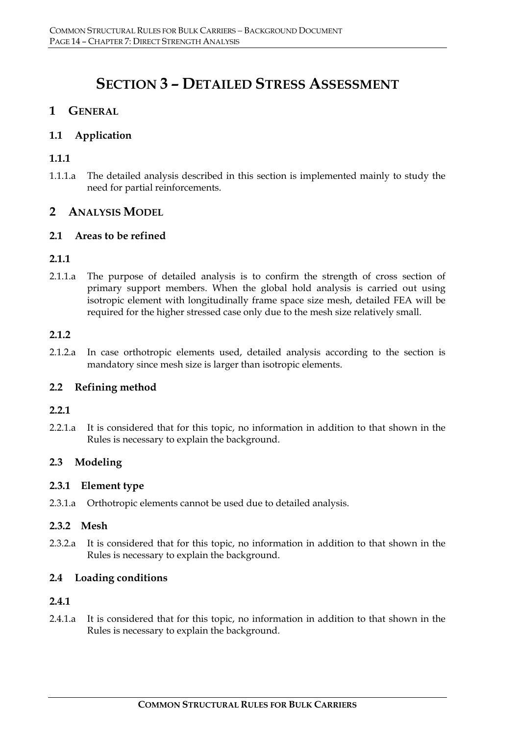# **SECTION 3 – DETAILED STRESS ASSESSMENT**

# **1 GENERAL**

### **1.1 Application**

# **1.1.1**

1.1.1.a The detailed analysis described in this section is implemented mainly to study the need for partial reinforcements.

# **2 ANALYSIS MODEL**

#### **2.1 Areas to be refined**

#### **2.1.1**

2.1.1.a The purpose of detailed analysis is to confirm the strength of cross section of primary support members. When the global hold analysis is carried out using isotropic element with longitudinally frame space size mesh, detailed FEA will be required for the higher stressed case only due to the mesh size relatively small.

#### **2.1.2**

2.1.2.a In case orthotropic elements used, detailed analysis according to the section is mandatory since mesh size is larger than isotropic elements.

#### **2.2 Refining method**

#### **2.2.1**

2.2.1.a It is considered that for this topic, no information in addition to that shown in the Rules is necessary to explain the background.

#### **2.3 Modeling**

#### **2.3.1 Element type**

2.3.1.a Orthotropic elements cannot be used due to detailed analysis.

#### **2.3.2 Mesh**

2.3.2.a It is considered that for this topic, no information in addition to that shown in the Rules is necessary to explain the background.

#### **2.4 Loading conditions**

#### **2.4.1**

2.4.1.a It is considered that for this topic, no information in addition to that shown in the Rules is necessary to explain the background.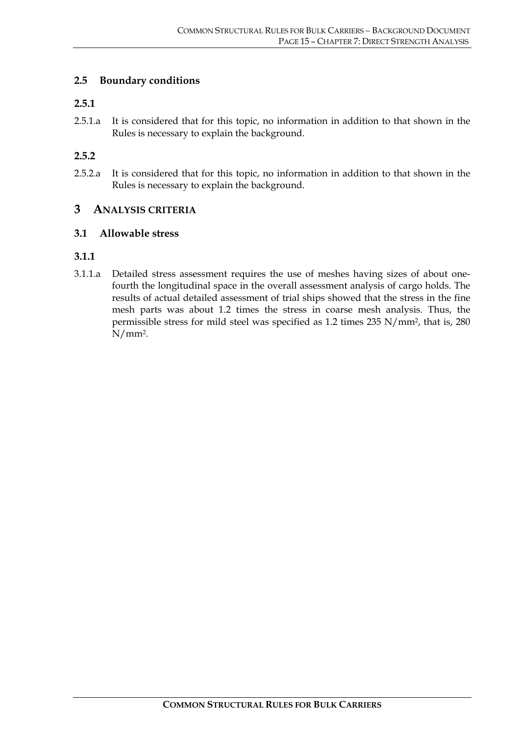#### **2.5 Boundary conditions**

#### **2.5.1**

2.5.1.a It is considered that for this topic, no information in addition to that shown in the Rules is necessary to explain the background.

#### **2.5.2**

2.5.2.a It is considered that for this topic, no information in addition to that shown in the Rules is necessary to explain the background.

#### **3 ANALYSIS CRITERIA**

#### **3.1 Allowable stress**

#### **3.1.1**

3.1.1.a Detailed stress assessment requires the use of meshes having sizes of about onefourth the longitudinal space in the overall assessment analysis of cargo holds. The results of actual detailed assessment of trial ships showed that the stress in the fine mesh parts was about 1.2 times the stress in coarse mesh analysis. Thus, the permissible stress for mild steel was specified as 1.2 times 235 N/mm2, that is, 280 N/mm2.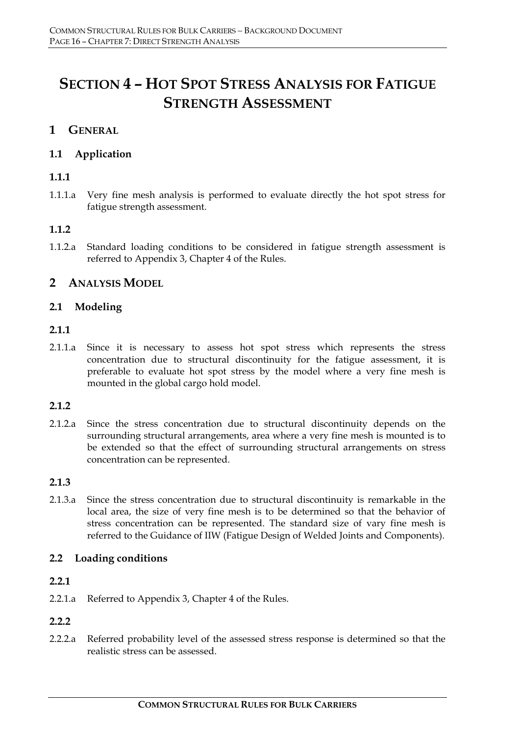# **SECTION 4 – HOT SPOT STRESS ANALYSIS FOR FATIGUE STRENGTH ASSESSMENT**

# **1 GENERAL**

# **1.1 Application**

# **1.1.1**

1.1.1.a Very fine mesh analysis is performed to evaluate directly the hot spot stress for fatigue strength assessment.

# **1.1.2**

1.1.2.a Standard loading conditions to be considered in fatigue strength assessment is referred to Appendix 3, Chapter 4 of the Rules.

# **2 ANALYSIS MODEL**

#### **2.1 Modeling**

#### **2.1.1**

2.1.1.a Since it is necessary to assess hot spot stress which represents the stress concentration due to structural discontinuity for the fatigue assessment, it is preferable to evaluate hot spot stress by the model where a very fine mesh is mounted in the global cargo hold model.

#### **2.1.2**

2.1.2.a Since the stress concentration due to structural discontinuity depends on the surrounding structural arrangements, area where a very fine mesh is mounted is to be extended so that the effect of surrounding structural arrangements on stress concentration can be represented.

#### **2.1.3**

2.1.3.a Since the stress concentration due to structural discontinuity is remarkable in the local area, the size of very fine mesh is to be determined so that the behavior of stress concentration can be represented. The standard size of vary fine mesh is referred to the Guidance of IIW (Fatigue Design of Welded Joints and Components).

#### **2.2 Loading conditions**

#### **2.2.1**

2.2.1.a Referred to Appendix 3, Chapter 4 of the Rules.

#### **2.2.2**

2.2.2.a Referred probability level of the assessed stress response is determined so that the realistic stress can be assessed.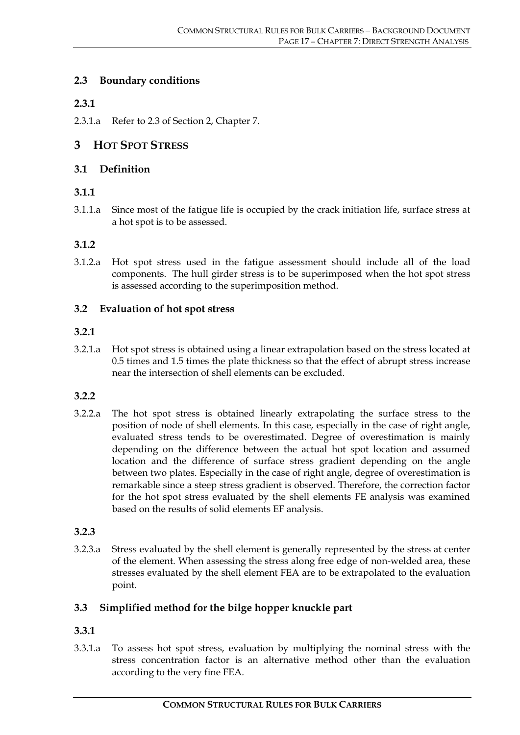#### **2.3 Boundary conditions**

#### **2.3.1**

2.3.1.a Refer to 2.3 of Section 2, Chapter 7.

# **3 HOT SPOT STRESS**

#### **3.1 Definition**

#### **3.1.1**

3.1.1.a Since most of the fatigue life is occupied by the crack initiation life, surface stress at a hot spot is to be assessed.

#### **3.1.2**

3.1.2.a Hot spot stress used in the fatigue assessment should include all of the load components. The hull girder stress is to be superimposed when the hot spot stress is assessed according to the superimposition method.

#### **3.2 Evaluation of hot spot stress**

#### **3.2.1**

3.2.1.a Hot spot stress is obtained using a linear extrapolation based on the stress located at 0.5 times and 1.5 times the plate thickness so that the effect of abrupt stress increase near the intersection of shell elements can be excluded.

#### **3.2.2**

3.2.2.a The hot spot stress is obtained linearly extrapolating the surface stress to the position of node of shell elements. In this case, especially in the case of right angle, evaluated stress tends to be overestimated. Degree of overestimation is mainly depending on the difference between the actual hot spot location and assumed location and the difference of surface stress gradient depending on the angle between two plates. Especially in the case of right angle, degree of overestimation is remarkable since a steep stress gradient is observed. Therefore, the correction factor for the hot spot stress evaluated by the shell elements FE analysis was examined based on the results of solid elements EF analysis.

#### **3.2.3**

3.2.3.a Stress evaluated by the shell element is generally represented by the stress at center of the element. When assessing the stress along free edge of non-welded area, these stresses evaluated by the shell element FEA are to be extrapolated to the evaluation point.

#### **3.3 Simplified method for the bilge hopper knuckle part**

#### **3.3.1**

3.3.1.a To assess hot spot stress, evaluation by multiplying the nominal stress with the stress concentration factor is an alternative method other than the evaluation according to the very fine FEA.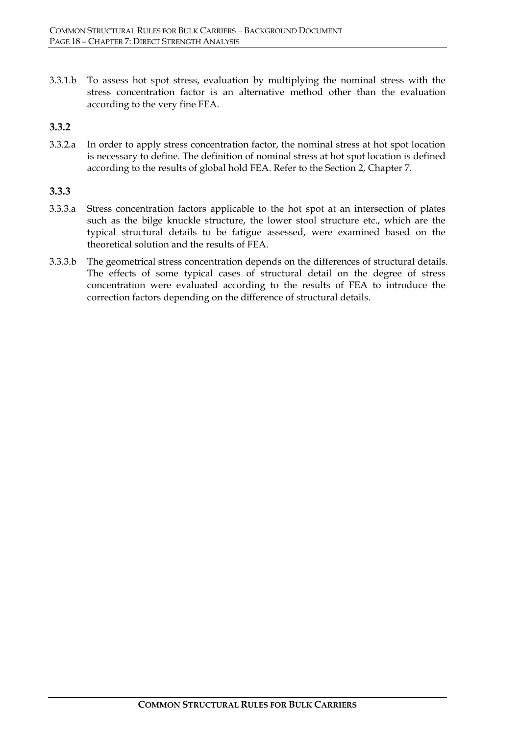3.3.1.b To assess hot spot stress, evaluation by multiplying the nominal stress with the stress concentration factor is an alternative method other than the evaluation according to the very fine FEA.

#### **3.3.2**

3.3.2.a In order to apply stress concentration factor, the nominal stress at hot spot location is necessary to define. The definition of nominal stress at hot spot location is defined according to the results of global hold FEA. Refer to the Section 2, Chapter 7.

#### **3.3.3**

- 3.3.3.a Stress concentration factors applicable to the hot spot at an intersection of plates such as the bilge knuckle structure, the lower stool structure etc., which are the typical structural details to be fatigue assessed, were examined based on the theoretical solution and the results of FEA.
- 3.3.3.b The geometrical stress concentration depends on the differences of structural details. The effects of some typical cases of structural detail on the degree of stress concentration were evaluated according to the results of FEA to introduce the correction factors depending on the difference of structural details.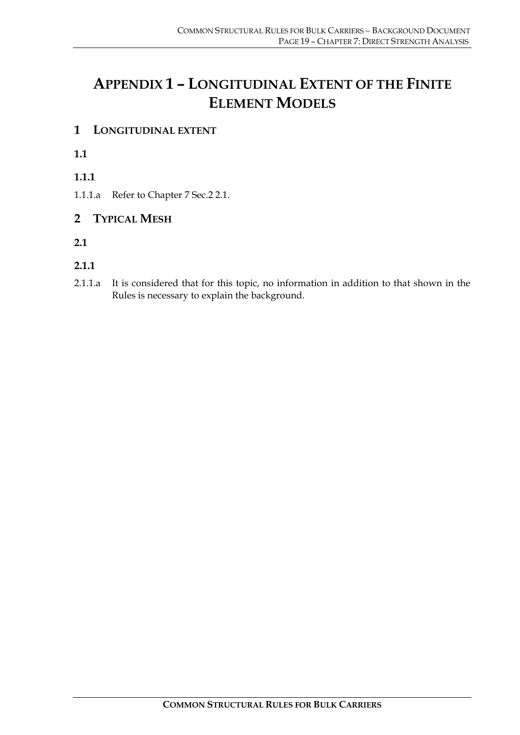# **APPENDIX 1 – LONGITUDINAL EXTENT OF THE FINITE ELEMENT MODELS**

# **1 LONGITUDINAL EXTENT**

**1.1**

**1.1.1**

1.1.1.a Refer to Chapter 7 Sec.2 2.1.

# **2 TYPICAL MESH**

**2.1**

# **2.1.1**

2.1.1.a It is considered that for this topic, no information in addition to that shown in the Rules is necessary to explain the background.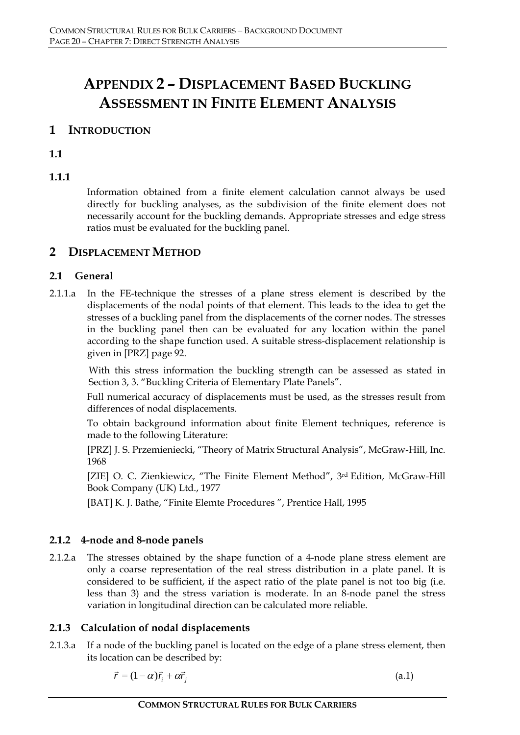# **APPENDIX 2 – DISPLACEMENT BASED BUCKLING ASSESSMENT IN FINITE ELEMENT ANALYSIS**

# **1 INTRODUCTION**

**1.1**

### **1.1.1**

Information obtained from a finite element calculation cannot always be used directly for buckling analyses, as the subdivision of the finite element does not necessarily account for the buckling demands. Appropriate stresses and edge stress ratios must be evaluated for the buckling panel.

# **2 DISPLACEMENT METHOD**

#### **2.1 General**

2.1.1.a In the FE-technique the stresses of a plane stress element is described by the displacements of the nodal points of that element. This leads to the idea to get the stresses of a buckling panel from the displacements of the corner nodes. The stresses in the buckling panel then can be evaluated for any location within the panel according to the shape function used. A suitable stress-displacement relationship is given in [PRZ] page 92.

With this stress information the buckling strength can be assessed as stated in Section 3, 3. "Buckling Criteria of Elementary Plate Panels".

Full numerical accuracy of displacements must be used, as the stresses result from differences of nodal displacements.

To obtain background information about finite Element techniques, reference is made to the following Literature:

[PRZ] J. S. Przemieniecki, "Theory of Matrix Structural Analysis", McGraw-Hill, Inc. 1968

[ZIE] O. C. Zienkiewicz, "The Finite Element Method", 3rd Edition, McGraw-Hill Book Company (UK) Ltd., 1977

[BAT] K. J. Bathe, "Finite Elemte Procedures ", Prentice Hall, 1995

#### **2.1.2 4-node and 8-node panels**

2.1.2.a The stresses obtained by the shape function of a 4-node plane stress element are only a coarse representation of the real stress distribution in a plate panel. It is considered to be sufficient, if the aspect ratio of the plate panel is not too big (i.e. less than 3) and the stress variation is moderate. In an 8-node panel the stress variation in longitudinal direction can be calculated more reliable.

#### **2.1.3 Calculation of nodal displacements**

2.1.3.a If a node of the buckling panel is located on the edge of a plane stress element, then its location can be described by:

$$
\vec{r} = (1 - \alpha)\vec{r}_i + \alpha\vec{r}_j \tag{a.1}
$$